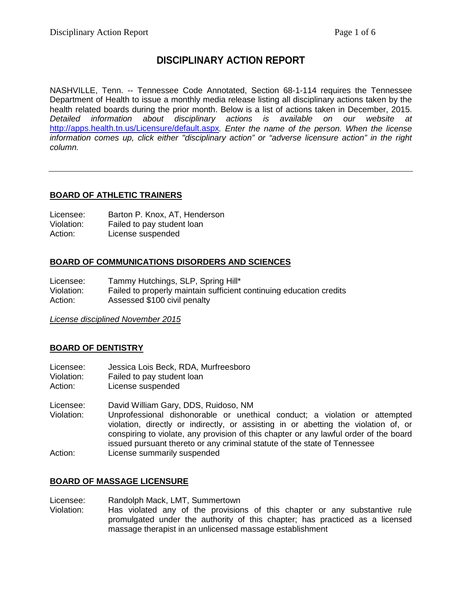## **DISCIPLINARY ACTION REPORT**

NASHVILLE, Tenn. -- Tennessee Code Annotated, Section 68-1-114 requires the Tennessee Department of Health to issue a monthly media release listing all disciplinary actions taken by the health related boards during the prior month. Below is a list of actions taken in December, 2015. *Detailed information about disciplinary actions is available on our website at* <http://apps.health.tn.us/Licensure/default.aspx>*. Enter the name of the person. When the license information comes up, click either "disciplinary action" or "adverse licensure action" in the right column.*

## **BOARD OF ATHLETIC TRAINERS**

| Licensee:  | Barton P. Knox, AT, Henderson |
|------------|-------------------------------|
| Violation: | Failed to pay student loan    |
| Action:    | License suspended             |

## **BOARD OF COMMUNICATIONS DISORDERS AND SCIENCES**

Licensee: Tammy Hutchings, SLP, Spring Hill\*<br>Violation: Failed to properly maintain sufficient Failed to properly maintain sufficient continuing education credits Action: Assessed \$100 civil penalty

*License disciplined November 2015*

## **BOARD OF DENTISTRY**

- Licensee: Jessica Lois Beck, RDA, Murfreesboro
- Violation: Failed to pay student loan<br>Action: License suspended
- License suspended
- Licensee: David William Gary, DDS, Ruidoso, NM Violation: Unprofessional dishonorable or unethical conduct; a violation or attempted
- violation, directly or indirectly, or assisting in or abetting the violation of, or conspiring to violate, any provision of this chapter or any lawful order of the board issued pursuant thereto or any criminal statute of the state of Tennessee Action: License summarily suspended

## **BOARD OF MASSAGE LICENSURE**

Licensee: Randolph Mack, LMT, Summertown Violation: Has violated any of the provisions of this chapter or any substantive rule promulgated under the authority of this chapter; has practiced as a licensed massage therapist in an unlicensed massage establishment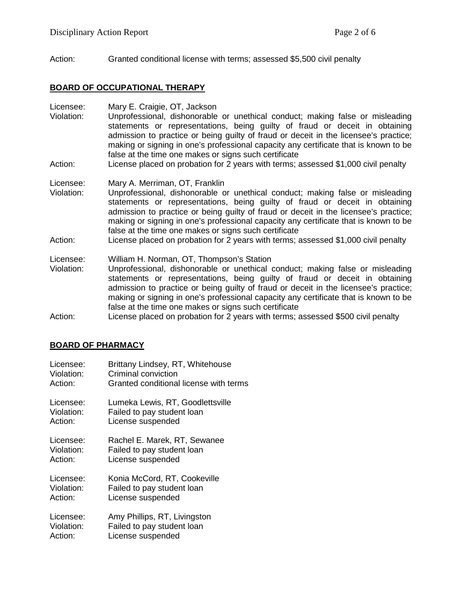Action: Granted conditional license with terms; assessed \$5,500 civil penalty

## **BOARD OF OCCUPATIONAL THERAPY**

Licensee: Mary E. Craigie, OT, Jackson

- Violation: Unprofessional, dishonorable or unethical conduct; making false or misleading statements or representations, being guilty of fraud or deceit in obtaining admission to practice or being guilty of fraud or deceit in the licensee's practice; making or signing in one's professional capacity any certificate that is known to be false at the time one makes or signs such certificate
- Action: License placed on probation for 2 years with terms; assessed \$1,000 civil penalty

Licensee: Mary A. Merriman, OT, Franklin

- Violation: Unprofessional, dishonorable or unethical conduct; making false or misleading statements or representations, being guilty of fraud or deceit in obtaining admission to practice or being guilty of fraud or deceit in the licensee's practice; making or signing in one's professional capacity any certificate that is known to be false at the time one makes or signs such certificate
- Action: License placed on probation for 2 years with terms; assessed \$1,000 civil penalty
- Licensee: William H. Norman, OT, Thompson's Station
- Violation: Unprofessional, dishonorable or unethical conduct; making false or misleading statements or representations, being guilty of fraud or deceit in obtaining admission to practice or being guilty of fraud or deceit in the licensee's practice; making or signing in one's professional capacity any certificate that is known to be false at the time one makes or signs such certificate
- Action: License placed on probation for 2 years with terms; assessed \$500 civil penalty

## **BOARD OF PHARMACY**

| Licensee:  | Brittany Lindsey, RT, Whitehouse       |
|------------|----------------------------------------|
| Violation: | Criminal conviction                    |
| Action:    | Granted conditional license with terms |
| Licensee:  | Lumeka Lewis, RT, Goodlettsville       |
| Violation: | Failed to pay student loan             |
| Action:    | License suspended                      |
| Licensee:  | Rachel E. Marek, RT, Sewanee           |
| Violation: | Failed to pay student loan             |
| Action:    | License suspended                      |
| Licensee:  | Konia McCord, RT, Cookeville           |
| Violation: | Failed to pay student loan             |
| Action:    | License suspended                      |
| Licensee:  | Amy Phillips, RT, Livingston           |
| Violation: | Failed to pay student loan             |
| Action:    | License suspended                      |
|            |                                        |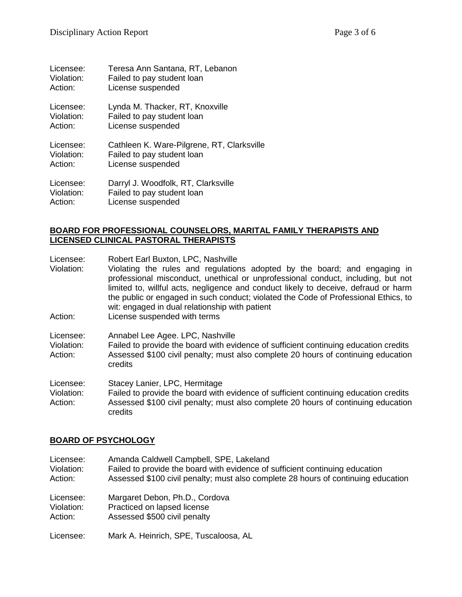| Licensee:  | Teresa Ann Santana, RT, Lebanon            |
|------------|--------------------------------------------|
| Violation: | Failed to pay student loan                 |
| Action:    | License suspended                          |
| Licensee:  | Lynda M. Thacker, RT, Knoxville            |
| Violation: | Failed to pay student loan                 |
| Action:    | License suspended                          |
| Licensee:  | Cathleen K. Ware-Pilgrene, RT, Clarksville |
| Violation: | Failed to pay student loan                 |
| Action:    | License suspended                          |
| Licensee:  | Darryl J. Woodfolk, RT, Clarksville        |
| Violation: | Failed to pay student loan                 |
| Action:    | License suspended                          |

## **BOARD FOR PROFESSIONAL COUNSELORS, MARITAL FAMILY THERAPISTS AND LICENSED CLINICAL PASTORAL THERAPISTS**

Licensee: Robert Earl Buxton, LPC, Nashville

Violation: Violating the rules and regulations adopted by the board; and engaging in professional misconduct, unethical or unprofessional conduct, including, but not limited to, willful acts, negligence and conduct likely to deceive, defraud or harm the public or engaged in such conduct; violated the Code of Professional Ethics, to wit: engaged in dual relationship with patient

- Action: License suspended with terms
- Licensee: Annabel Lee Agee. LPC, Nashville
- Violation: Failed to provide the board with evidence of sufficient continuing education credits Action: Assessed \$100 civil penalty; must also complete 20 hours of continuing education credits

Licensee: Stacey Lanier, LPC, Hermitage Violation: Failed to provide the board with evidence of sufficient continuing education credits Action: Assessed \$100 civil penalty; must also complete 20 hours of continuing education credits

## **BOARD OF PSYCHOLOGY**

| Licensee:  | Amanda Caldwell Campbell, SPE, Lakeland                                           |
|------------|-----------------------------------------------------------------------------------|
| Violation: | Failed to provide the board with evidence of sufficient continuing education      |
| Action:    | Assessed \$100 civil penalty; must also complete 28 hours of continuing education |
| Licensee:  | Margaret Debon, Ph.D., Cordova                                                    |
| Violation: | Practiced on lapsed license                                                       |
| Action:    | Assessed \$500 civil penalty                                                      |
| Licensee:  | Mark A. Heinrich, SPE, Tuscaloosa, AL                                             |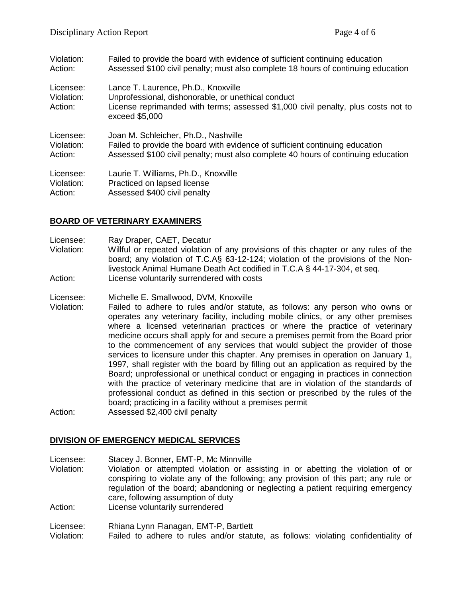| Violation:                         | Failed to provide the board with evidence of sufficient continuing education                                                                                                                     |
|------------------------------------|--------------------------------------------------------------------------------------------------------------------------------------------------------------------------------------------------|
| Action:                            | Assessed \$100 civil penalty; must also complete 18 hours of continuing education                                                                                                                |
| Licensee:<br>Violation:<br>Action: | Lance T. Laurence, Ph.D., Knoxville<br>Unprofessional, dishonorable, or unethical conduct<br>License reprimanded with terms; assessed \$1,000 civil penalty, plus costs not to<br>exceed \$5,000 |
| Licensee:                          | Joan M. Schleicher, Ph.D., Nashville                                                                                                                                                             |
| Violation:                         | Failed to provide the board with evidence of sufficient continuing education                                                                                                                     |
| Action:                            | Assessed \$100 civil penalty; must also complete 40 hours of continuing education                                                                                                                |
| Licensee:                          | Laurie T. Williams, Ph.D., Knoxville                                                                                                                                                             |
| Violation:                         | Practiced on lapsed license                                                                                                                                                                      |
| Action:                            | Assessed \$400 civil penalty                                                                                                                                                                     |

## **BOARD OF VETERINARY EXAMINERS**

- Licensee: Ray Draper, CAET, Decatur
- Violation: Willful or repeated violation of any provisions of this chapter or any rules of the board; any violation of T.C.A§ 63-12-124; violation of the provisions of the Nonlivestock Animal Humane Death Act codified in T.C.A § 44-17-304, et seq. Action: License voluntarily surrendered with costs
- Licensee: Michelle E. Smallwood, DVM, Knoxville
- Violation: Failed to adhere to rules and/or statute, as follows: any person who owns or operates any veterinary facility, including mobile clinics, or any other premises where a licensed veterinarian practices or where the practice of veterinary medicine occurs shall apply for and secure a premises permit from the Board prior to the commencement of any services that would subject the provider of those services to licensure under this chapter. Any premises in operation on January 1, 1997, shall register with the board by filling out an application as required by the Board; unprofessional or unethical conduct or engaging in practices in connection with the practice of veterinary medicine that are in violation of the standards of professional conduct as defined in this section or prescribed by the rules of the board; practicing in a facility without a premises permit Action: Assessed \$2,400 civil penalty
- 

# **DIVISION OF EMERGENCY MEDICAL SERVICES**

Licensee: Stacey J. Bonner, EMT-P, Mc Minnville Violation: Violation or attempted violation or assisting in or abetting the violation of or conspiring to violate any of the following; any provision of this part; any rule or regulation of the board; abandoning or neglecting a patient requiring emergency care, following assumption of duty Action: License voluntarily surrendered Licensee: Rhiana Lynn Flanagan, EMT-P, Bartlett

Violation: Failed to adhere to rules and/or statute, as follows: violating confidentiality of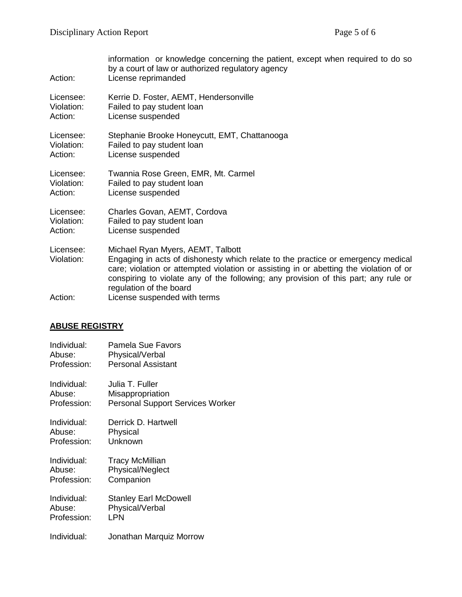| Action:                 | information or knowledge concerning the patient, except when required to do so<br>by a court of law or authorized regulatory agency<br>License reprimanded                                                                                                                                                                        |
|-------------------------|-----------------------------------------------------------------------------------------------------------------------------------------------------------------------------------------------------------------------------------------------------------------------------------------------------------------------------------|
| Licensee:               | Kerrie D. Foster, AEMT, Hendersonville                                                                                                                                                                                                                                                                                            |
| Violation:              | Failed to pay student loan                                                                                                                                                                                                                                                                                                        |
| Action:                 | License suspended                                                                                                                                                                                                                                                                                                                 |
| Licensee:               | Stephanie Brooke Honeycutt, EMT, Chattanooga                                                                                                                                                                                                                                                                                      |
| Violation:              | Failed to pay student loan                                                                                                                                                                                                                                                                                                        |
| Action:                 | License suspended                                                                                                                                                                                                                                                                                                                 |
| Licensee:               | Twannia Rose Green, EMR, Mt. Carmel                                                                                                                                                                                                                                                                                               |
| Violation:              | Failed to pay student loan                                                                                                                                                                                                                                                                                                        |
| Action:                 | License suspended                                                                                                                                                                                                                                                                                                                 |
| Licensee:               | Charles Govan, AEMT, Cordova                                                                                                                                                                                                                                                                                                      |
| Violation:              | Failed to pay student loan                                                                                                                                                                                                                                                                                                        |
| Action:                 | License suspended                                                                                                                                                                                                                                                                                                                 |
| Licensee:<br>Violation: | Michael Ryan Myers, AEMT, Talbott<br>Engaging in acts of dishonesty which relate to the practice or emergency medical<br>care; violation or attempted violation or assisting in or abetting the violation of or<br>conspiring to violate any of the following; any provision of this part; any rule or<br>regulation of the board |
| Action:                 | License suspended with terms                                                                                                                                                                                                                                                                                                      |

# **ABUSE REGISTRY**

| Individual: | <b>Pamela Sue Favors</b>                |
|-------------|-----------------------------------------|
| Abuse:      | Physical/Verbal                         |
| Profession: | <b>Personal Assistant</b>               |
| Individual: | Julia T. Fuller                         |
| Abuse:      | Misappropriation                        |
| Profession: | <b>Personal Support Services Worker</b> |
| Individual: | Derrick D. Hartwell                     |
| Abuse:      | Physical                                |
| Profession: | Unknown                                 |
| Individual: | <b>Tracy McMillian</b>                  |
| Abuse:      | <b>Physical/Neglect</b>                 |
| Profession: | Companion                               |
| Individual: | <b>Stanley Earl McDowell</b>            |
| Abuse:      | Physical/Verbal                         |
| Profession: | <b>LPN</b>                              |
| Individual: | Jonathan Marquiz Morrow                 |